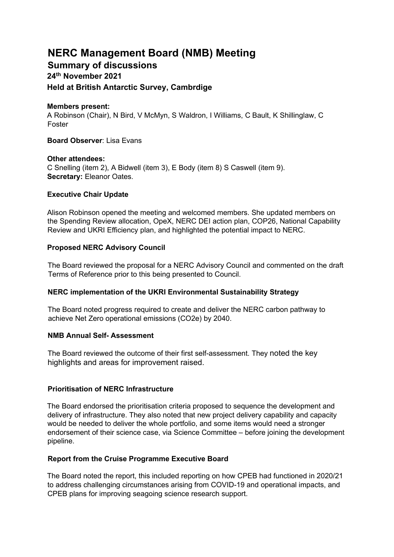# **NERC Management Board (NMB) Meeting**

## **Summary of discussions 24th November 2021 Held at British Antarctic Survey, Cambrdige**

#### **Members present:**

A Robinson (Chair), N Bird, V McMyn, S Waldron, I Williams, C Bault, K Shillinglaw, C Foster

**Board Observer**: Lisa Evans

#### **Other attendees:**

C Snelling (item 2), A Bidwell (item 3), E Body (item 8) S Caswell (item 9). **Secretary:** Eleanor Oates.

#### **Executive Chair Update**

Alison Robinson opened the meeting and welcomed members. She updated members on the Spending Review allocation, OpeX, NERC DEI action plan, COP26, National Capability Review and UKRI Efficiency plan, and highlighted the potential impact to NERC.

#### **Proposed NERC Advisory Council**

The Board reviewed the proposal for a NERC Advisory Council and commented on the draft Terms of Reference prior to this being presented to Council.

## **NERC implementation of the UKRI Environmental Sustainability Strategy**

The Board noted progress required to create and deliver the NERC carbon pathway to achieve Net Zero operational emissions (CO2e) by 2040.

## **NMB Annual Self- Assessment**

The Board reviewed the outcome of their first self-assessment. They noted the key highlights and areas for improvement raised.

## **Prioritisation of NERC Infrastructure**

The Board endorsed the prioritisation criteria proposed to sequence the development and delivery of infrastructure. They also noted that new project delivery capability and capacity would be needed to deliver the whole portfolio, and some items would need a stronger endorsement of their science case, via Science Committee – before joining the development pipeline.

## **Report from the Cruise Programme Executive Board**

The Board noted the report, this included reporting on how CPEB had functioned in 2020/21 to address challenging circumstances arising from COVID-19 and operational impacts, and CPEB plans for improving seagoing science research support.